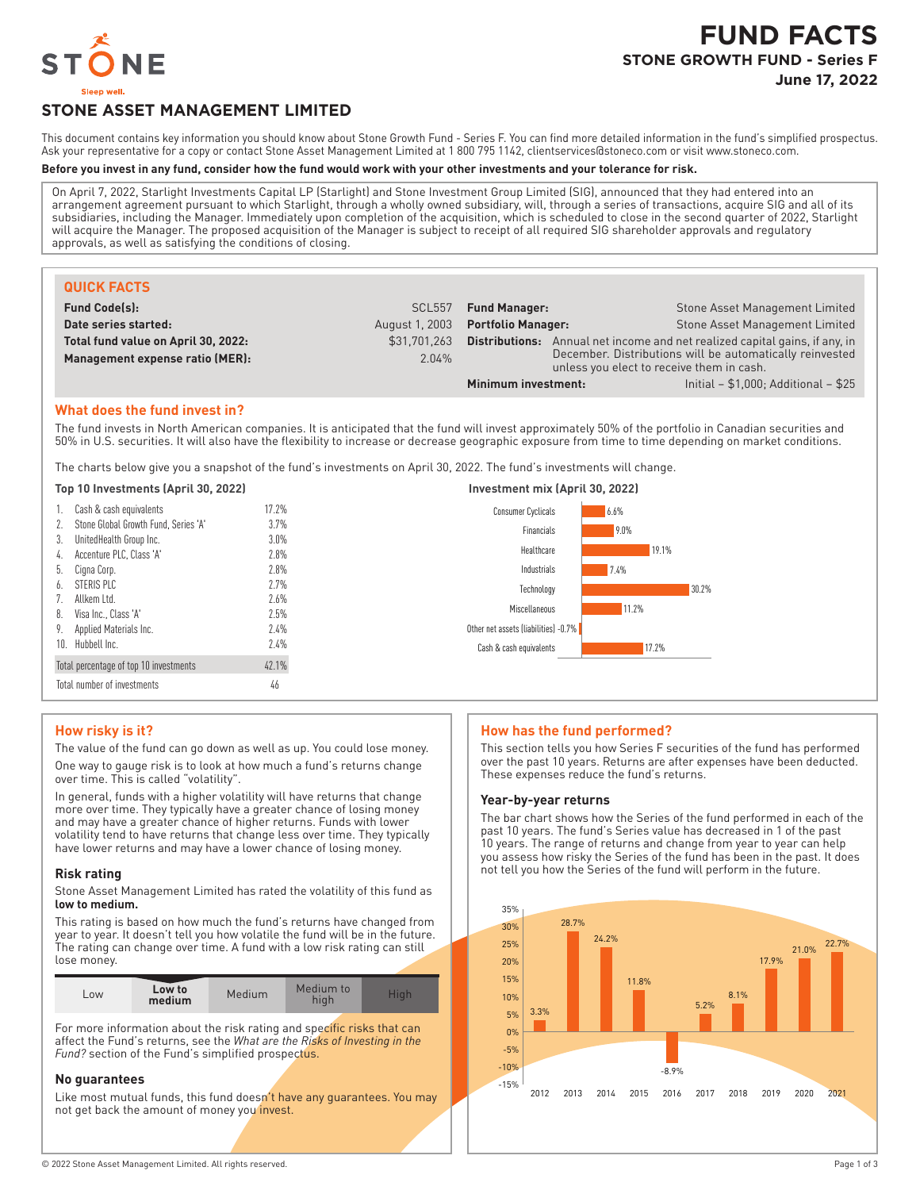

# **STONE ASSET MANAGEMENT LIMITED**

This document contains key information you should know about Stone Growth Fund - Series F. You can find more detailed information in the fund's simplified prospectus. Ask your representative for a copy or contact Stone Asset Management Limited at 1800 795 1142, clientservices@stoneco.com or visit www.stoneco.com.

#### **Before you invest in any fund, consider how the fund would work with your other investments and your tolerance for risk.**

On April 7, 2022, Starlight Investments Capital LP (Starlight) and Stone Investment Group Limited (SIG), announced that they had entered into an arrangement agreement pursuant to which Starlight, through a wholly owned subsidiary, will, through a series of transactions, acquire SIG and all of its subsidiaries, including the Manager. Immediately upon completion of the acquisition, which is scheduled to close in the second quarter of 2022, Starlight will acquire the Manager. The proposed acquisition of the Manager is subject to receipt of all required SIG shareholder approvals and regulatory approvals, as well as satisfying the conditions of closing.

| <b>QUICK FACTS</b>                  |                |                                                                                                       |                                         |
|-------------------------------------|----------------|-------------------------------------------------------------------------------------------------------|-----------------------------------------|
| <b>Fund Code(s):</b>                | <b>SCL557</b>  | <b>Fund Manager:</b>                                                                                  | Stone Asset Management Limited          |
| Date series started:                | August 1, 2003 | <b>Portfolio Manager:</b>                                                                             | Stone Asset Management Limited          |
| Total fund value on April 30, 2022: | \$31,701,263   | Annual net income and net realized capital gains, if any, in<br>Distributions:                        |                                         |
| Management expense ratio (MER):     | 2.04%          | December. Distributions will be automatically reinvested<br>unless you elect to receive them in cash. |                                         |
|                                     |                | Minimum investment:                                                                                   | Initial $- $1,000$ ; Additional $- $25$ |

## **What does the fund invest in?**

The fund invests in North American companies. It is anticipated that the fund will invest approximately 50% of the portfolio in Canadian securities and 50% in U.S. securities. It will also have the flexibility to increase or decrease geographic exposure from time to time depending on market conditions.

The charts below give you a snapshot of the fund's investments on April 30, 2022. The fund's investments will change.

#### **Top 10 Investments (April 30, 2022) Investment mix (April 30, 2022)**

| 1. Cash & cash equivalents              | 17.2%   | 6.6%<br>Consumer Cyclicals           |       |
|-----------------------------------------|---------|--------------------------------------|-------|
| 2. Stone Global Growth Fund, Series 'A' | 3.7%    | 9.0%<br>Financials                   |       |
| 3. UnitedHealth Group Inc.              | $3.0\%$ |                                      |       |
| 4. Accenture PLC, Class 'A'             | 2.8%    | Healthcare                           | 19.1% |
| 5. Cigna Corp.                          | 2.8%    | 7.4%<br>Industrials                  |       |
| 6. STERIS PLC                           | 2.7%    | Technology                           | 30.2% |
| 7. Allkem Ltd.                          | 2.6%    |                                      |       |
| 8. Visa Inc., Class 'A'                 | 2.5%    | 11.2%<br>Miscellaneous               |       |
| 9. Applied Materials Inc.               | 2.4%    | Other net assets (liabilities) -0.7% |       |
| 10. Hubbell Inc.                        | 2.4%    | Cash & cash equivalents              | 17.2% |
| Total percentage of top 10 investments  | 42.1%   |                                      |       |
| Total number of investments             | 46      |                                      |       |

## **How risky is it?**

The value of the fund can go down as well as up. You could lose money. One way to gauge risk is to look at how much a fund's returns change over time. This is called "volatility".

In general, funds with a higher volatility will have returns that change more over time. They typically have a greater chance of losing money and may have a greater chance of higher returns. Funds with lower volatility tend to have returns that change less over time. They typically have lower returns and may have a lower chance of losing money.

#### **Risk rating**

Stone Asset Management Limited has rated the volatility of this fund as **low to medium.**

This rating is based on how much the fund's returns have changed from year to year. It doesn't tell you how volatile the fund will be in the future. The rating can change over time. A fund with a low risk rating can still lose money.

| LOW | Low to<br>medium | Medium | Medium to | Hial |
|-----|------------------|--------|-----------|------|

For more information about the risk rating and specific risks that can affect the Fund's returns, see the *What are the Risks of Investing in the Fund?* section of the Fund's simplified prospectus.

## **No guarantees**

Like most mutual funds, this fund doesn't have any guarantees. You may not get back the amount of money you invest.

#### **How has the fund performed?**

This section tells you how Series F securities of the fund has performed over the past 10 years. Returns are after expenses have been deducted. These expenses reduce the fund's returns.

#### **Year-by-year returns**

The bar chart shows how the Series of the fund performed in each of the past 10 years. The fund's Series value has decreased in 1 of the past 10 years. The range of returns and change from year to year can help you assess how risky the Series of the fund has been in the past. It does not tell you how the Series of the fund will perform in the future.

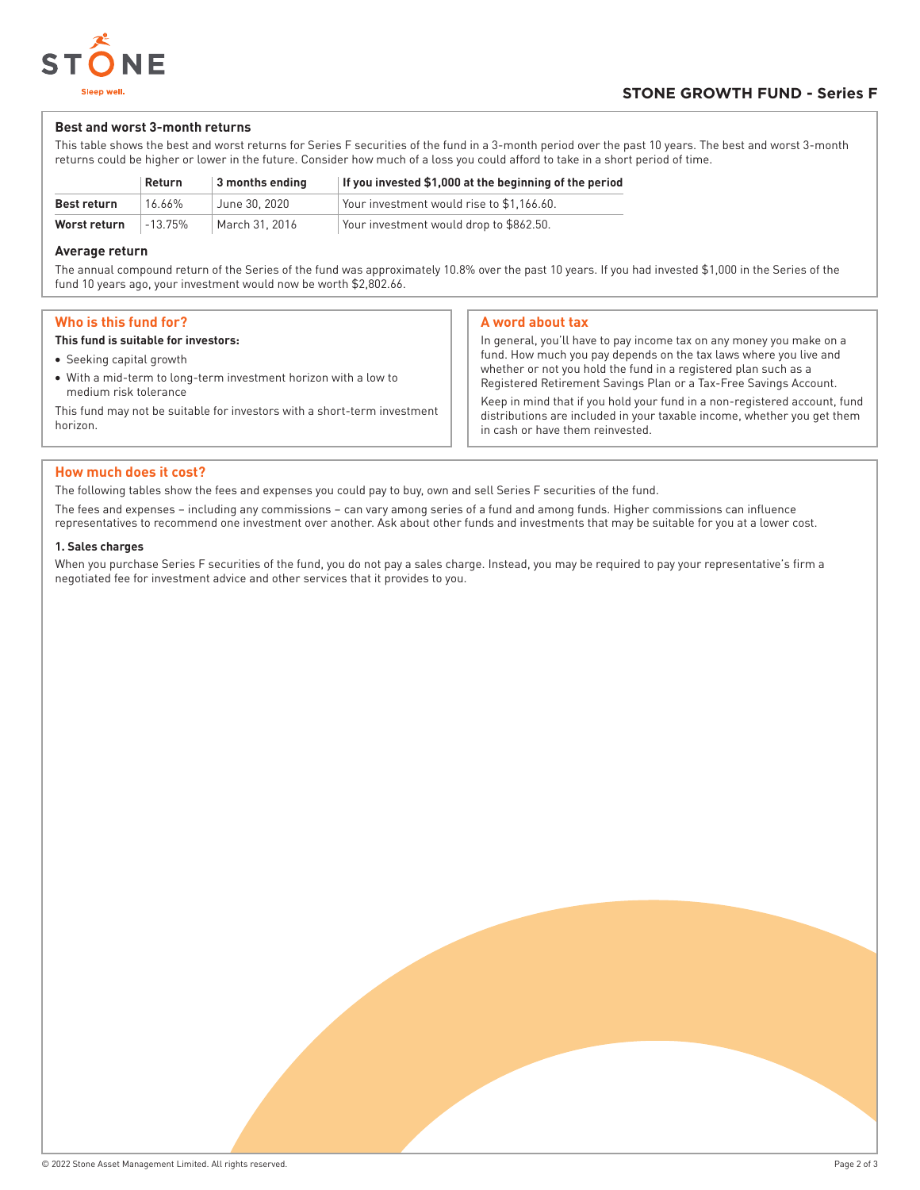

## **Best and worst 3-month returns**

This table shows the best and worst returns for Series F securities of the fund in a 3-month period over the past 10 years. The best and worst 3-month returns could be higher or lower in the future. Consider how much of a loss you could afford to take in a short period of time.

|                                           | Return | 3 months ending                         | If you invested \$1,000 at the beginning of the period |
|-------------------------------------------|--------|-----------------------------------------|--------------------------------------------------------|
| <b>Best return</b>                        | 16.66% | June 30, 2020                           | Your investment would rise to \$1.166.60.              |
| Worst return<br>March 31, 2016<br>-13.75% |        | Your investment would drop to \$862.50. |                                                        |

## **Average return**

The annual compound return of the Series of the fund was approximately 10.8% over the past 10 years. If you had invested \$1,000 in the Series of the fund 10 years ago, your investment would now be worth \$2,802.66.

## **Who is this fund for?**

#### **This fund is suitable for investors:**

- Seeking capital growth
- With a mid-term to long-term investment horizon with a low to medium risk tolerance

This fund may not be suitable for investors with a short-term investment horizon.

## **A word about tax**

In general, you'll have to pay income tax on any money you make on a fund. How much you pay depends on the tax laws where you live and whether or not you hold the fund in a registered plan such as a Registered Retirement Savings Plan or a Tax-Free Savings Account. Keep in mind that if you hold your fund in a non-registered account, fund distributions are included in your taxable income, whether you get them in cash or have them reinvested.

## **How much does it cost?**

The following tables show the fees and expenses you could pay to buy, own and sell Series F securities of the fund.

The fees and expenses – including any commissions – can vary among series of a fund and among funds. Higher commissions can influence representatives to recommend one investment over another. Ask about other funds and investments that may be suitable for you at a lower cost.

#### **1. Sales charges**

When you purchase Series F securities of the fund, you do not pay a sales charge. Instead, you may be required to pay your representative's firm a negotiated fee for investment advice and other services that it provides to you.